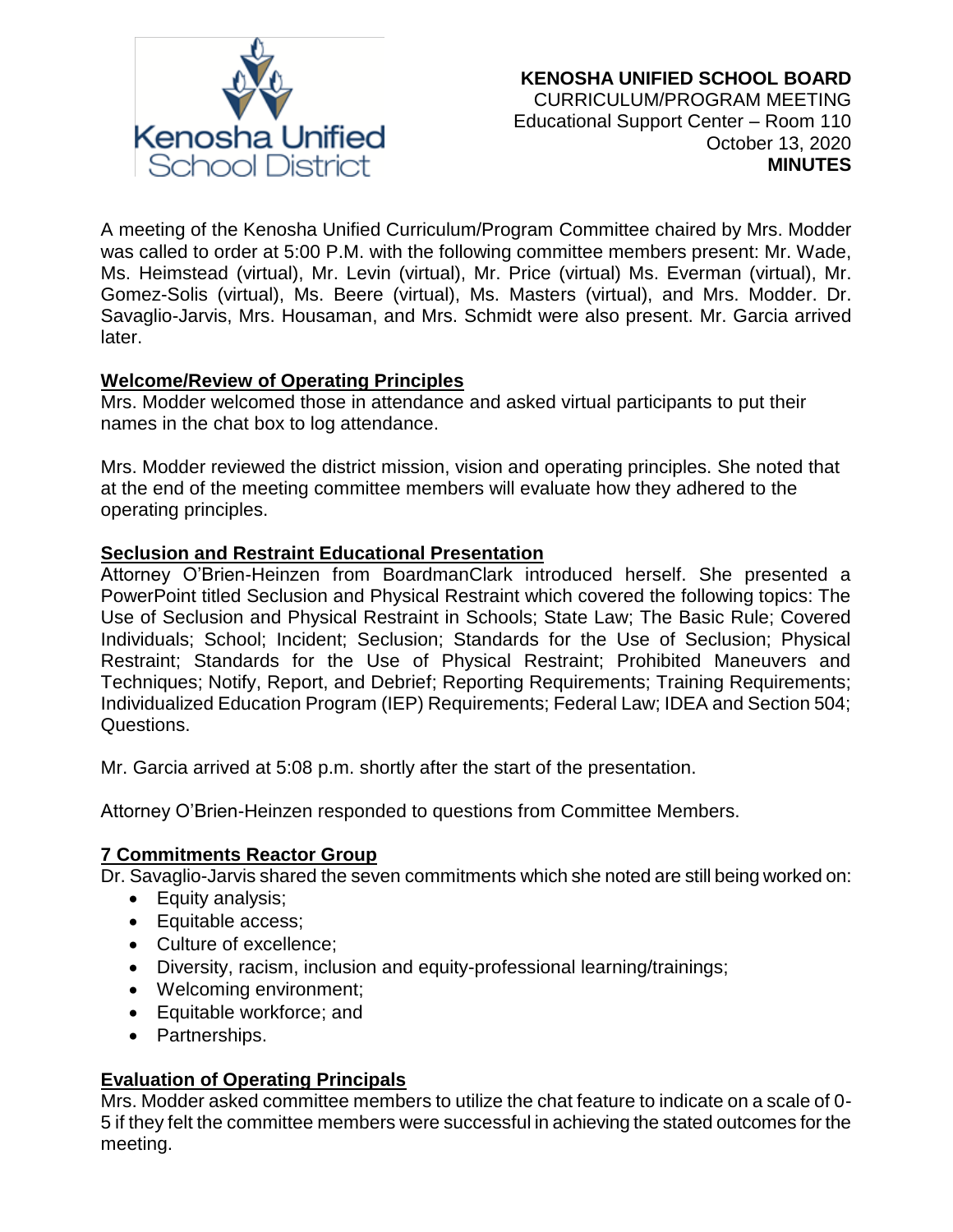

A meeting of the Kenosha Unified Curriculum/Program Committee chaired by Mrs. Modder was called to order at 5:00 P.M. with the following committee members present: Mr. Wade, Ms. Heimstead (virtual), Mr. Levin (virtual), Mr. Price (virtual) Ms. Everman (virtual), Mr. Gomez-Solis (virtual), Ms. Beere (virtual), Ms. Masters (virtual), and Mrs. Modder. Dr. Savaglio-Jarvis, Mrs. Housaman, and Mrs. Schmidt were also present. Mr. Garcia arrived later.

## **Welcome/Review of Operating Principles**

Mrs. Modder welcomed those in attendance and asked virtual participants to put their names in the chat box to log attendance.

Mrs. Modder reviewed the district mission, vision and operating principles. She noted that at the end of the meeting committee members will evaluate how they adhered to the operating principles.

#### **Seclusion and Restraint Educational Presentation**

Attorney O'Brien-Heinzen from BoardmanClark introduced herself. She presented a PowerPoint titled Seclusion and Physical Restraint which covered the following topics: The Use of Seclusion and Physical Restraint in Schools; State Law; The Basic Rule; Covered Individuals; School; Incident; Seclusion; Standards for the Use of Seclusion; Physical Restraint; Standards for the Use of Physical Restraint; Prohibited Maneuvers and Techniques; Notify, Report, and Debrief; Reporting Requirements; Training Requirements; Individualized Education Program (IEP) Requirements; Federal Law; IDEA and Section 504; Questions.

Mr. Garcia arrived at 5:08 p.m. shortly after the start of the presentation.

Attorney O'Brien-Heinzen responded to questions from Committee Members.

#### **7 Commitments Reactor Group**

Dr. Savaglio-Jarvis shared the seven commitments which she noted are still being worked on:

- Equity analysis;
- Equitable access;
- Culture of excellence:
- Diversity, racism, inclusion and equity-professional learning/trainings;
- Welcoming environment;
- Equitable workforce; and
- Partnerships.

## **Evaluation of Operating Principals**

Mrs. Modder asked committee members to utilize the chat feature to indicate on a scale of 0- 5 if they felt the committee members were successful in achieving the stated outcomes for the meeting.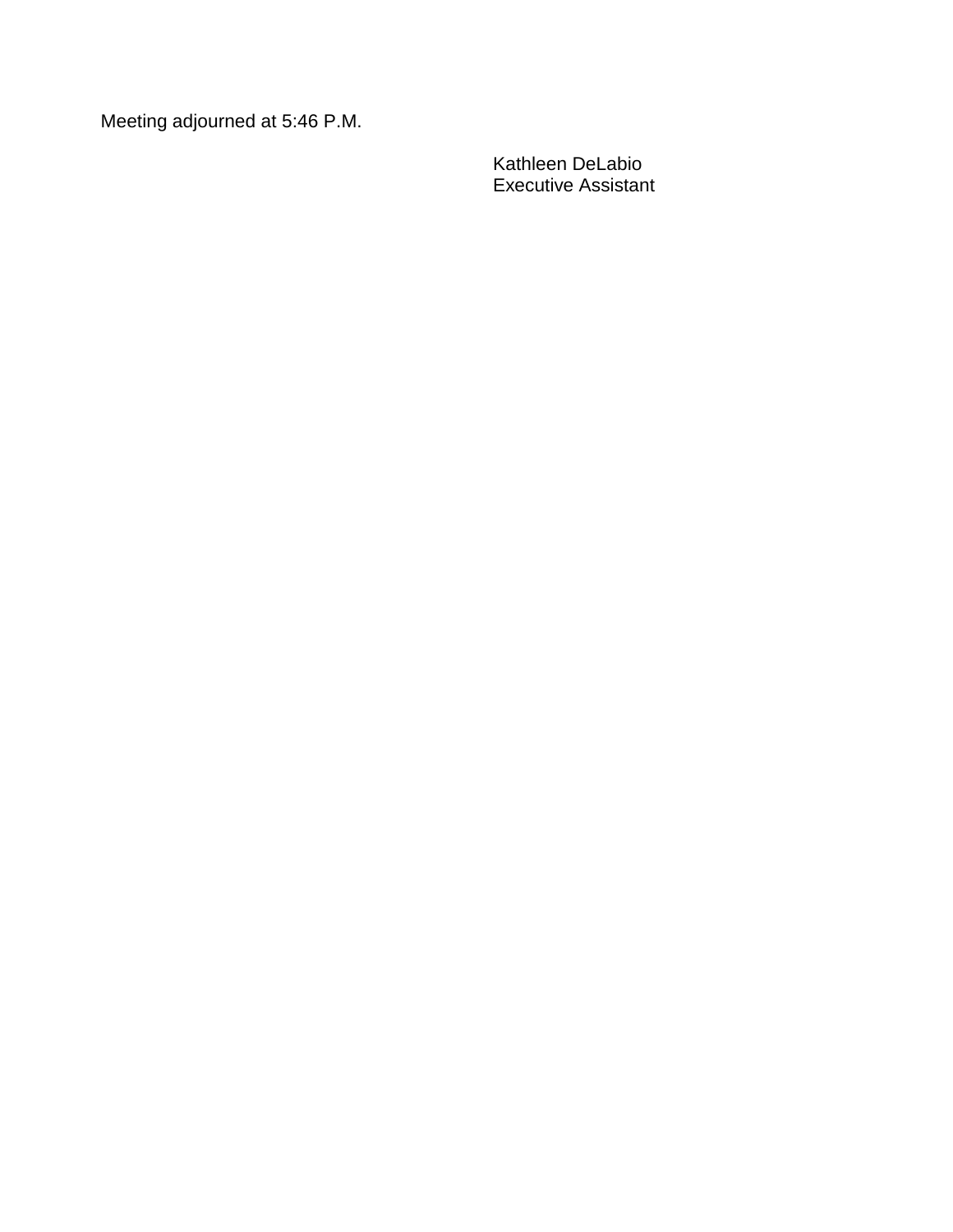Meeting adjourned at 5:46 P.M.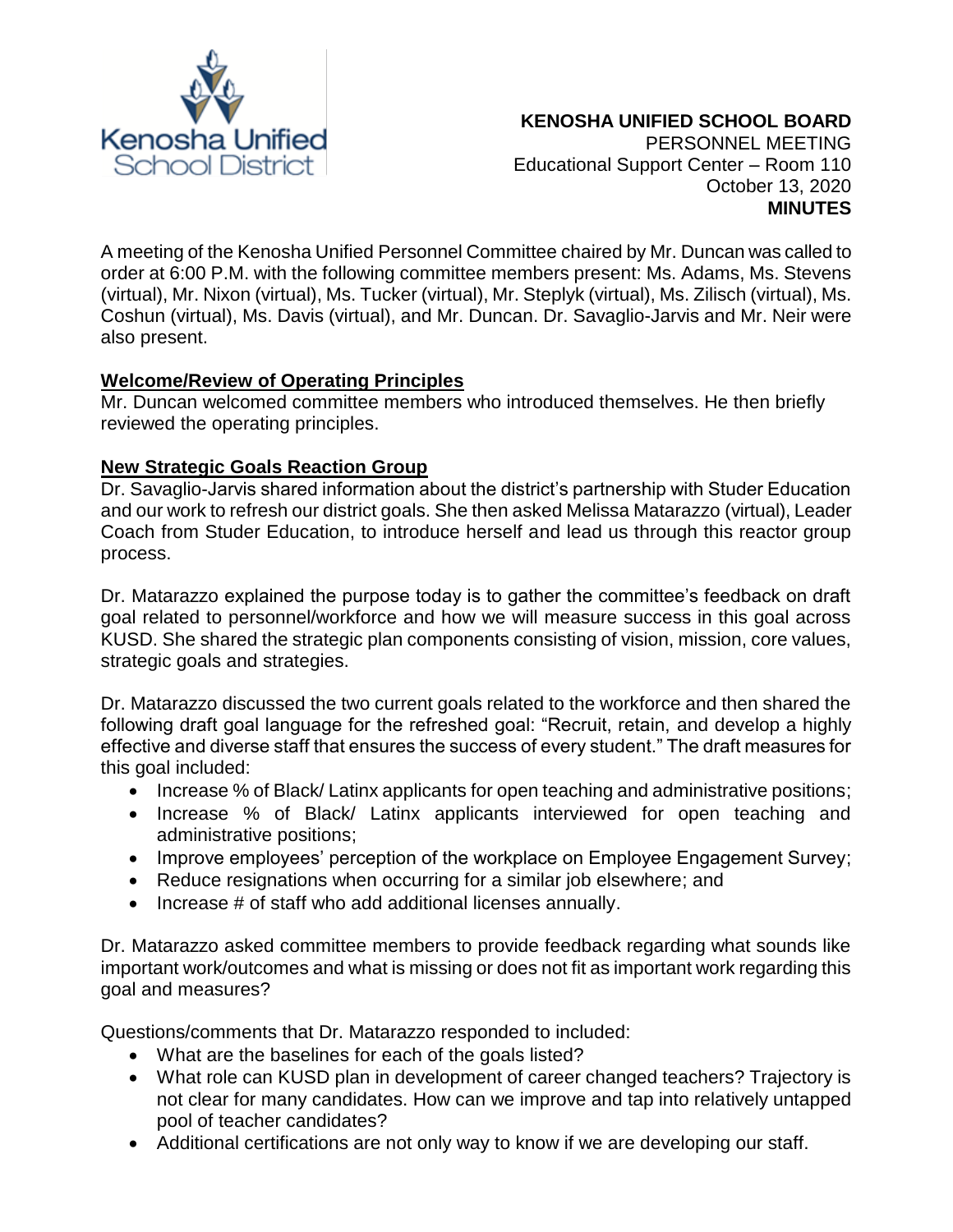

A meeting of the Kenosha Unified Personnel Committee chaired by Mr. Duncan was called to order at 6:00 P.M. with the following committee members present: Ms. Adams, Ms. Stevens (virtual), Mr. Nixon (virtual), Ms. Tucker (virtual), Mr. Steplyk (virtual), Ms. Zilisch (virtual), Ms. Coshun (virtual), Ms. Davis (virtual), and Mr. Duncan. Dr. Savaglio-Jarvis and Mr. Neir were also present.

## **Welcome/Review of Operating Principles**

Mr. Duncan welcomed committee members who introduced themselves. He then briefly reviewed the operating principles.

#### **New Strategic Goals Reaction Group**

Dr. Savaglio-Jarvis shared information about the district's partnership with Studer Education and our work to refresh our district goals. She then asked Melissa Matarazzo (virtual), Leader Coach from Studer Education, to introduce herself and lead us through this reactor group process.

Dr. Matarazzo explained the purpose today is to gather the committee's feedback on draft goal related to personnel/workforce and how we will measure success in this goal across KUSD. She shared the strategic plan components consisting of vision, mission, core values, strategic goals and strategies.

Dr. Matarazzo discussed the two current goals related to the workforce and then shared the following draft goal language for the refreshed goal: "Recruit, retain, and develop a highly effective and diverse staff that ensures the success of every student." The draft measures for this goal included:

- Increase % of Black/ Latinx applicants for open teaching and administrative positions;
- Increase % of Black/ Latinx applicants interviewed for open teaching and administrative positions;
- Improve employees' perception of the workplace on Employee Engagement Survey;
- Reduce resignations when occurring for a similar job elsewhere; and
- Increase # of staff who add additional licenses annually.

Dr. Matarazzo asked committee members to provide feedback regarding what sounds like important work/outcomes and what is missing or does not fit as important work regarding this goal and measures?

Questions/comments that Dr. Matarazzo responded to included:

- What are the baselines for each of the goals listed?
- What role can KUSD plan in development of career changed teachers? Trajectory is not clear for many candidates. How can we improve and tap into relatively untapped pool of teacher candidates?
- Additional certifications are not only way to know if we are developing our staff.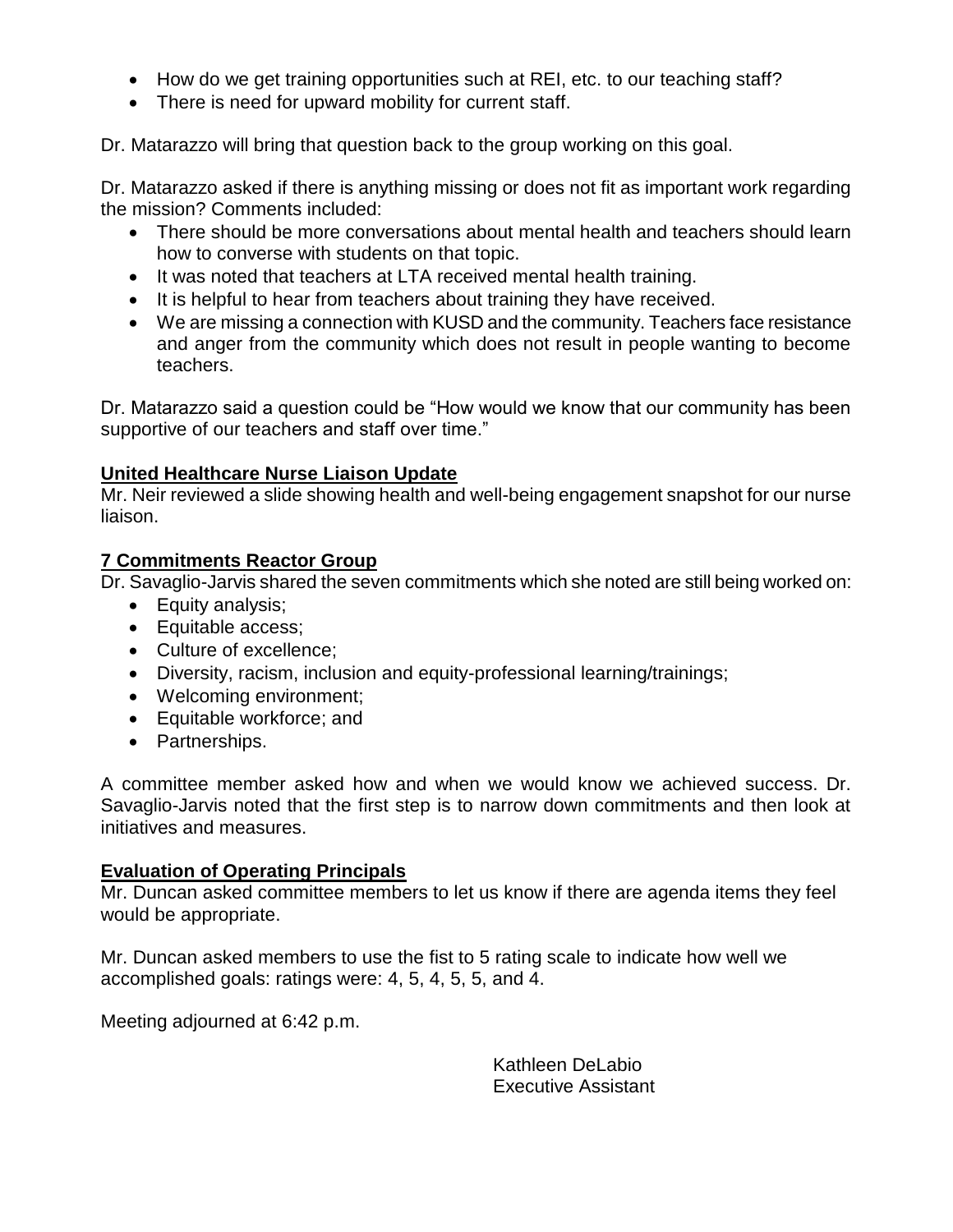- How do we get training opportunities such at REI, etc. to our teaching staff?
- There is need for upward mobility for current staff.

Dr. Matarazzo will bring that question back to the group working on this goal.

Dr. Matarazzo asked if there is anything missing or does not fit as important work regarding the mission? Comments included:

- There should be more conversations about mental health and teachers should learn how to converse with students on that topic.
- It was noted that teachers at LTA received mental health training.
- It is helpful to hear from teachers about training they have received.
- We are missing a connection with KUSD and the community. Teachers face resistance and anger from the community which does not result in people wanting to become teachers.

Dr. Matarazzo said a question could be "How would we know that our community has been supportive of our teachers and staff over time."

# **United Healthcare Nurse Liaison Update**

Mr. Neir reviewed a slide showing health and well-being engagement snapshot for our nurse liaison.

## **7 Commitments Reactor Group**

Dr. Savaglio-Jarvis shared the seven commitments which she noted are still being worked on:

- Equity analysis;
- Equitable access:
- Culture of excellence;
- Diversity, racism, inclusion and equity-professional learning/trainings;
- Welcoming environment;
- Equitable workforce; and
- Partnerships.

A committee member asked how and when we would know we achieved success. Dr. Savaglio-Jarvis noted that the first step is to narrow down commitments and then look at initiatives and measures.

## **Evaluation of Operating Principals**

Mr. Duncan asked committee members to let us know if there are agenda items they feel would be appropriate.

Mr. Duncan asked members to use the fist to 5 rating scale to indicate how well we accomplished goals: ratings were: 4, 5, 4, 5, 5, and 4.

Meeting adjourned at 6:42 p.m.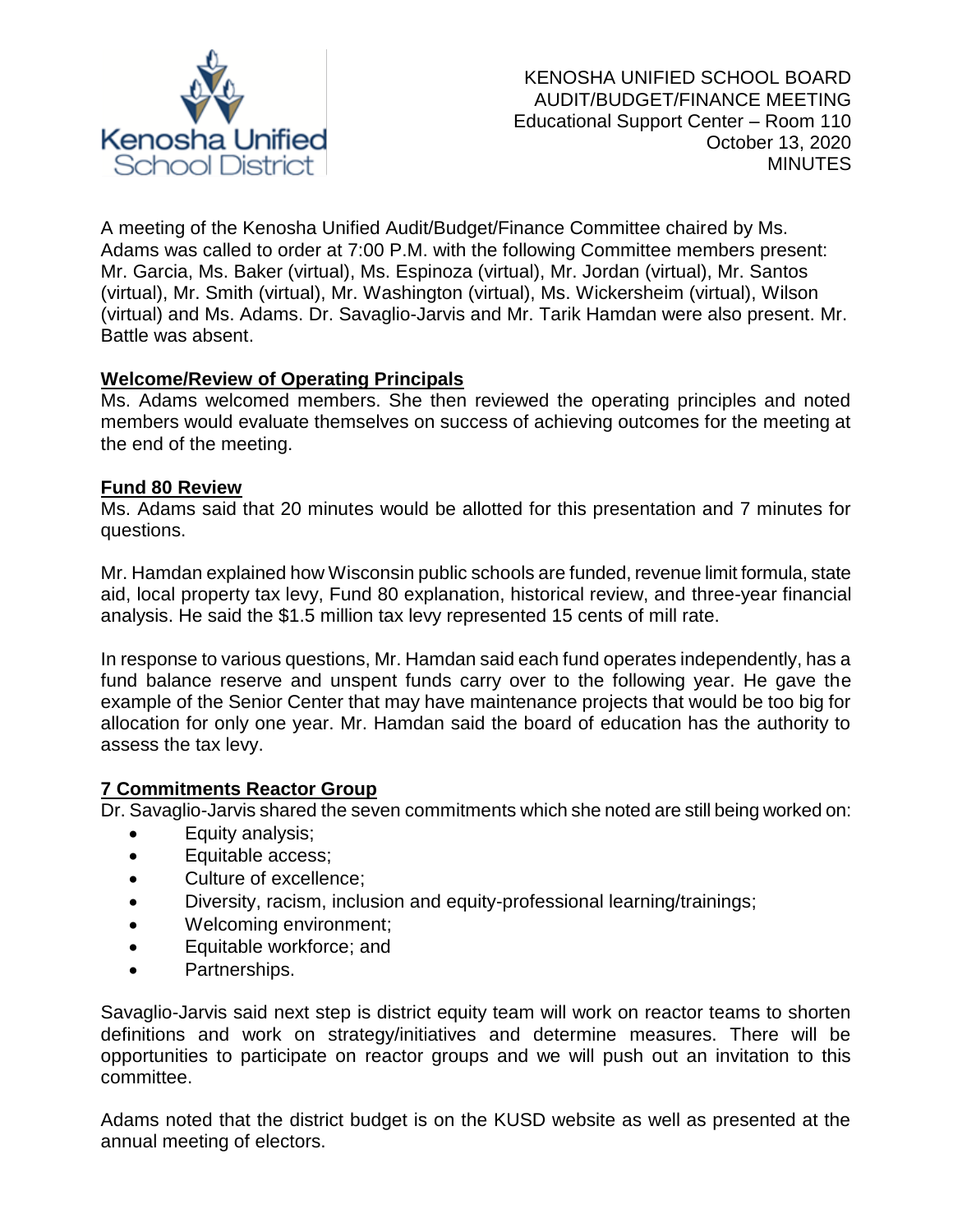

A meeting of the Kenosha Unified Audit/Budget/Finance Committee chaired by Ms. Adams was called to order at 7:00 P.M. with the following Committee members present: Mr. Garcia, Ms. Baker (virtual), Ms. Espinoza (virtual), Mr. Jordan (virtual), Mr. Santos (virtual), Mr. Smith (virtual), Mr. Washington (virtual), Ms. Wickersheim (virtual), Wilson (virtual) and Ms. Adams. Dr. Savaglio-Jarvis and Mr. Tarik Hamdan were also present. Mr. Battle was absent.

## **Welcome/Review of Operating Principals**

Ms. Adams welcomed members. She then reviewed the operating principles and noted members would evaluate themselves on success of achieving outcomes for the meeting at the end of the meeting.

#### **Fund 80 Review**

Ms. Adams said that 20 minutes would be allotted for this presentation and 7 minutes for questions.

Mr. Hamdan explained how Wisconsin public schools are funded, revenue limit formula, state aid, local property tax levy, Fund 80 explanation, historical review, and three-year financial analysis. He said the \$1.5 million tax levy represented 15 cents of mill rate.

In response to various questions, Mr. Hamdan said each fund operates independently, has a fund balance reserve and unspent funds carry over to the following year. He gave the example of the Senior Center that may have maintenance projects that would be too big for allocation for only one year. Mr. Hamdan said the board of education has the authority to assess the tax levy.

## **7 Commitments Reactor Group**

Dr. Savaglio-Jarvis shared the seven commitments which she noted are still being worked on:

- Equity analysis;
- Equitable access;
- Culture of excellence;
- Diversity, racism, inclusion and equity-professional learning/trainings;
- Welcoming environment;
- Equitable workforce; and
- Partnerships.

Savaglio-Jarvis said next step is district equity team will work on reactor teams to shorten definitions and work on strategy/initiatives and determine measures. There will be opportunities to participate on reactor groups and we will push out an invitation to this committee.

Adams noted that the district budget is on the KUSD website as well as presented at the annual meeting of electors.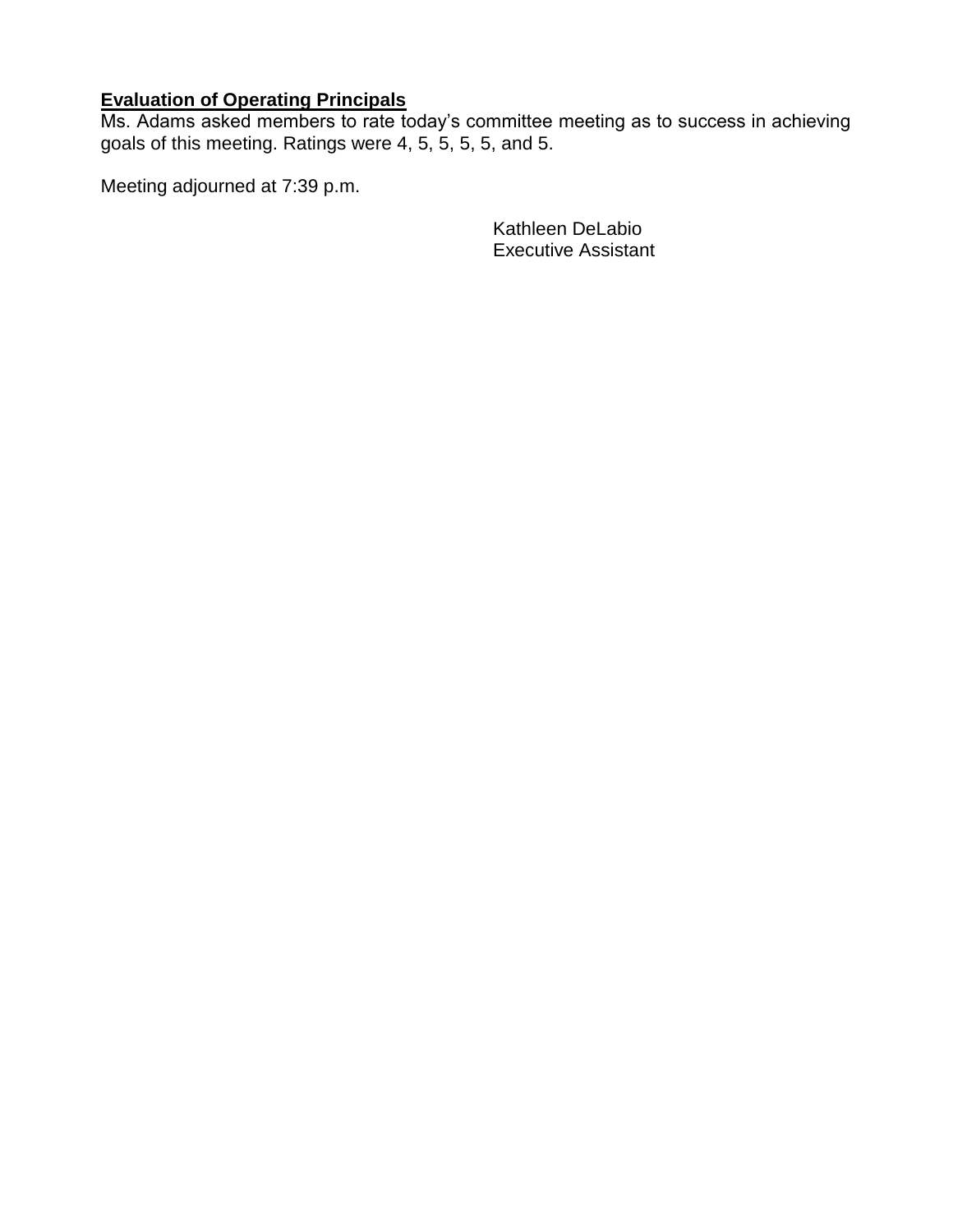#### **Evaluation of Operating Principals**

Ms. Adams asked members to rate today's committee meeting as to success in achieving goals of this meeting. Ratings were 4, 5, 5, 5, 5, and 5.

Meeting adjourned at 7:39 p.m.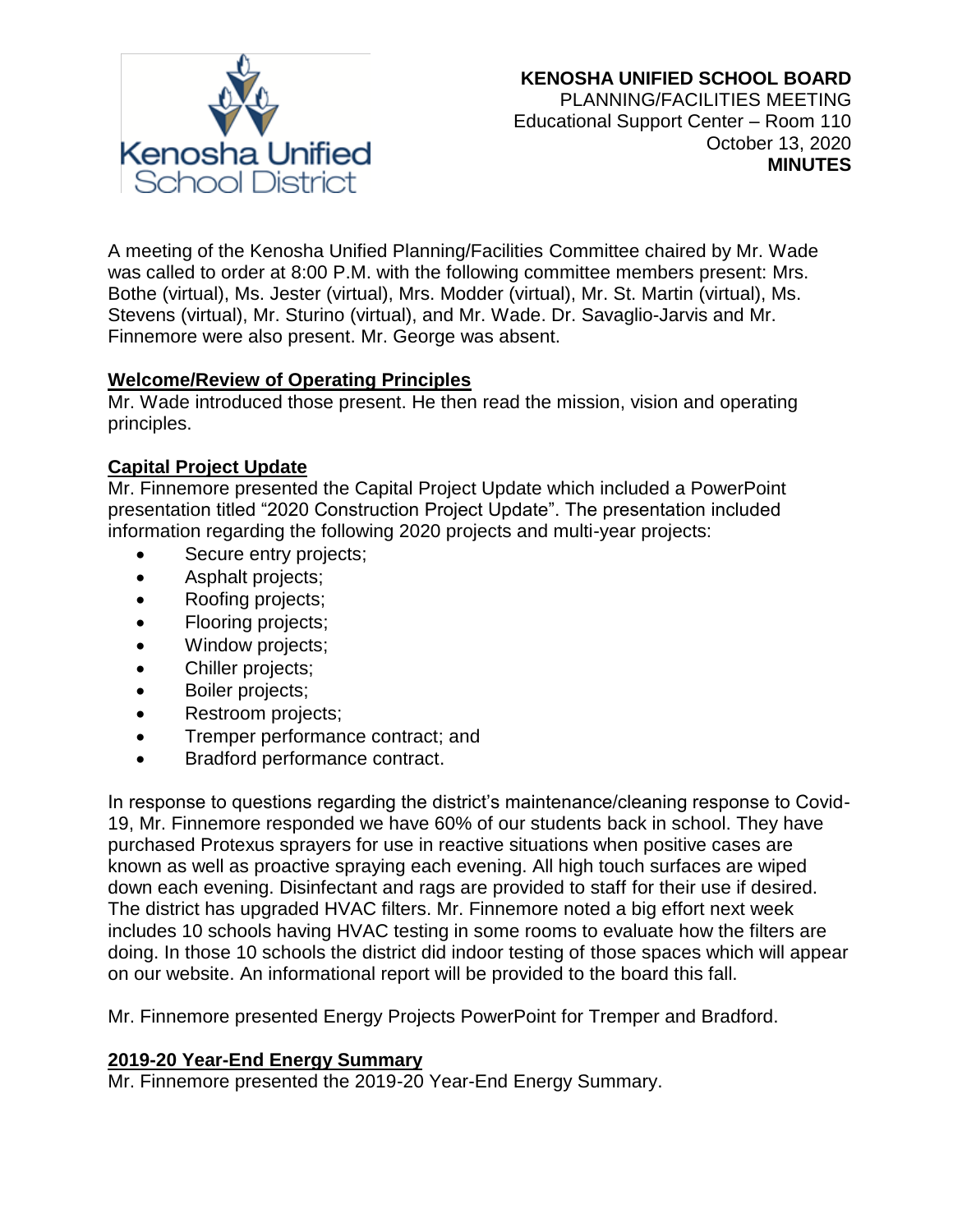

A meeting of the Kenosha Unified Planning/Facilities Committee chaired by Mr. Wade was called to order at 8:00 P.M. with the following committee members present: Mrs. Bothe (virtual), Ms. Jester (virtual), Mrs. Modder (virtual), Mr. St. Martin (virtual), Ms. Stevens (virtual), Mr. Sturino (virtual), and Mr. Wade. Dr. Savaglio-Jarvis and Mr. Finnemore were also present. Mr. George was absent.

## **Welcome/Review of Operating Principles**

Mr. Wade introduced those present. He then read the mission, vision and operating principles.

## **Capital Project Update**

Mr. Finnemore presented the Capital Project Update which included a PowerPoint presentation titled "2020 Construction Project Update". The presentation included information regarding the following 2020 projects and multi-year projects:

- Secure entry projects;
- Asphalt projects;
- Roofing projects;
- Flooring projects;
- Window projects:
- Chiller projects;
- Boiler projects;
- Restroom projects;
- Tremper performance contract; and
- Bradford performance contract.

In response to questions regarding the district's maintenance/cleaning response to Covid-19, Mr. Finnemore responded we have 60% of our students back in school. They have purchased Protexus sprayers for use in reactive situations when positive cases are known as well as proactive spraying each evening. All high touch surfaces are wiped down each evening. Disinfectant and rags are provided to staff for their use if desired. The district has upgraded HVAC filters. Mr. Finnemore noted a big effort next week includes 10 schools having HVAC testing in some rooms to evaluate how the filters are doing. In those 10 schools the district did indoor testing of those spaces which will appear on our website. An informational report will be provided to the board this fall.

Mr. Finnemore presented Energy Projects PowerPoint for Tremper and Bradford.

## **2019-20 Year-End Energy Summary**

Mr. Finnemore presented the 2019-20 Year-End Energy Summary.